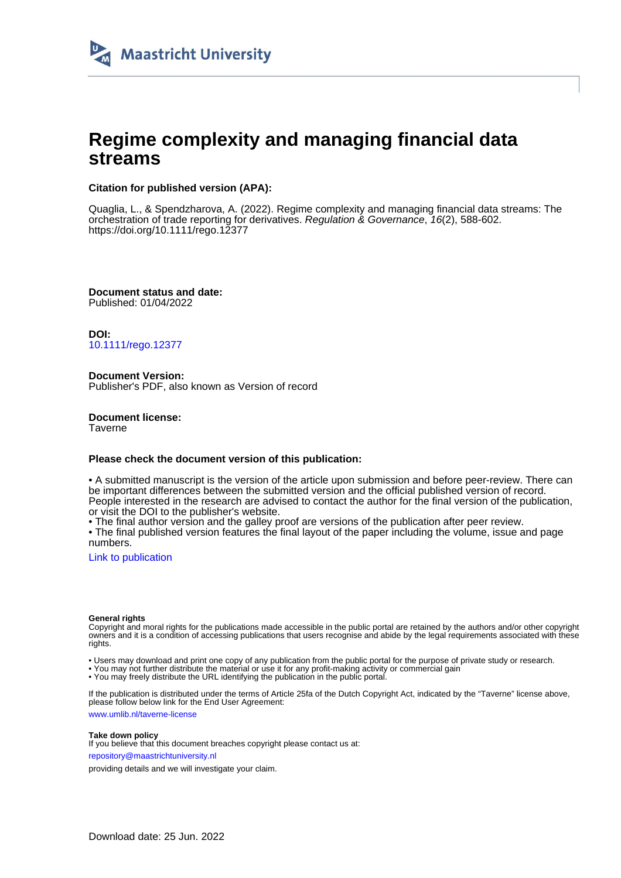

# **Regime complexity and managing financial data streams**

# **Citation for published version (APA):**

Quaglia, L., & Spendzharova, A. (2022). Regime complexity and managing financial data streams: The orchestration of trade reporting for derivatives. Regulation & Governance, 16(2), 588-602. <https://doi.org/10.1111/rego.12377>

**Document status and date:** Published: 01/04/2022

**DOI:** [10.1111/rego.12377](https://doi.org/10.1111/rego.12377)

**Document Version:** Publisher's PDF, also known as Version of record

**Document license: Taverne** 

## **Please check the document version of this publication:**

• A submitted manuscript is the version of the article upon submission and before peer-review. There can be important differences between the submitted version and the official published version of record. People interested in the research are advised to contact the author for the final version of the publication, or visit the DOI to the publisher's website.

• The final author version and the galley proof are versions of the publication after peer review.

• The final published version features the final layout of the paper including the volume, issue and page numbers.

[Link to publication](https://cris.maastrichtuniversity.nl/en/publications/909775d1-3356-4dc4-8135-e4dc3b582545)

### **General rights**

Copyright and moral rights for the publications made accessible in the public portal are retained by the authors and/or other copyright owners and it is a condition of accessing publications that users recognise and abide by the legal requirements associated with these rights.

• Users may download and print one copy of any publication from the public portal for the purpose of private study or research.

• You may not further distribute the material or use it for any profit-making activity or commercial gain

• You may freely distribute the URL identifying the publication in the public portal.

If the publication is distributed under the terms of Article 25fa of the Dutch Copyright Act, indicated by the "Taverne" license above, please follow below link for the End User Agreement:

www.umlib.nl/taverne-license

## **Take down policy**

If you believe that this document breaches copyright please contact us at: repository@maastrichtuniversity.nl

providing details and we will investigate your claim.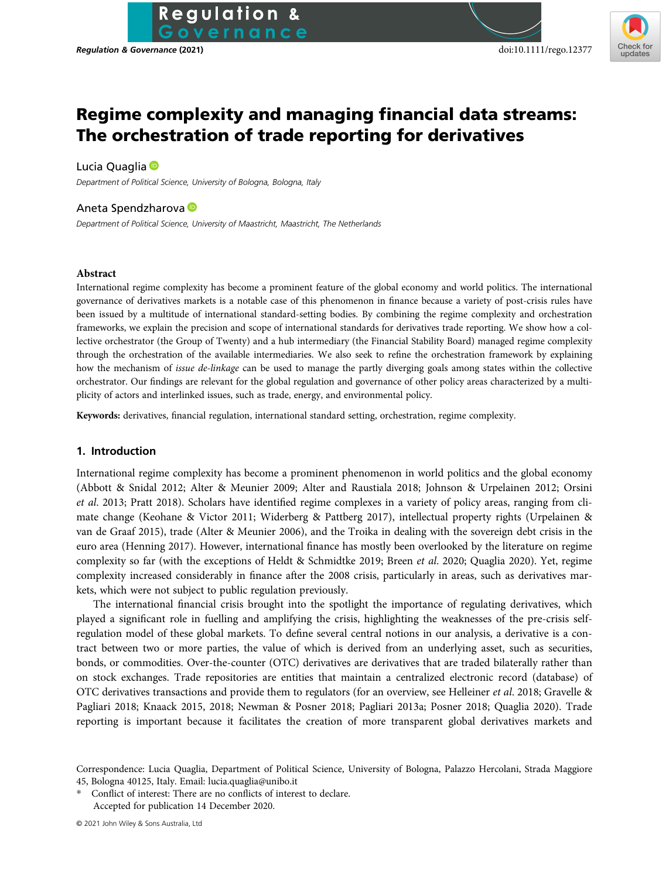# Regime complexity and managing financial data streams: The orchestration of trade reporting for derivatives

## Lucia Quaglia <sup>®</sup>

Department of Political Science, University of Bologna, Bologna, Italy

## Aneta Spendzharova

Department of Political Science, University of Maastricht, Maastricht, The Netherlands

**Regulation &** overnance

## Abstract

International regime complexity has become a prominent feature of the global economy and world politics. The international governance of derivatives markets is a notable case of this phenomenon in finance because a variety of post-crisis rules have been issued by a multitude of international standard-setting bodies. By combining the regime complexity and orchestration frameworks, we explain the precision and scope of international standards for derivatives trade reporting. We show how a collective orchestrator (the Group of Twenty) and a hub intermediary (the Financial Stability Board) managed regime complexity through the orchestration of the available intermediaries. We also seek to refine the orchestration framework by explaining how the mechanism of issue de-linkage can be used to manage the partly diverging goals among states within the collective orchestrator. Our findings are relevant for the global regulation and governance of other policy areas characterized by a multiplicity of actors and interlinked issues, such as trade, energy, and environmental policy.

Keywords: derivatives, financial regulation, international standard setting, orchestration, regime complexity.

# 1. Introduction

International regime complexity has become a prominent phenomenon in world politics and the global economy (Abbott & Snidal 2012; Alter & Meunier 2009; Alter and Raustiala 2018; Johnson & Urpelainen 2012; Orsini et al. 2013; Pratt 2018). Scholars have identified regime complexes in a variety of policy areas, ranging from climate change (Keohane & Victor 2011; Widerberg & Pattberg 2017), intellectual property rights (Urpelainen & van de Graaf 2015), trade (Alter & Meunier 2006), and the Troika in dealing with the sovereign debt crisis in the euro area (Henning 2017). However, international finance has mostly been overlooked by the literature on regime complexity so far (with the exceptions of Heldt & Schmidtke 2019; Breen et al. 2020; Quaglia 2020). Yet, regime complexity increased considerably in finance after the 2008 crisis, particularly in areas, such as derivatives markets, which were not subject to public regulation previously.

The international financial crisis brought into the spotlight the importance of regulating derivatives, which played a significant role in fuelling and amplifying the crisis, highlighting the weaknesses of the pre-crisis selfregulation model of these global markets. To define several central notions in our analysis, a derivative is a contract between two or more parties, the value of which is derived from an underlying asset, such as securities, bonds, or commodities. Over-the-counter (OTC) derivatives are derivatives that are traded bilaterally rather than on stock exchanges. Trade repositories are entities that maintain a centralized electronic record (database) of OTC derivatives transactions and provide them to regulators (for an overview, see Helleiner et al. 2018; Gravelle & Pagliari 2018; Knaack 2015, 2018; Newman & Posner 2018; Pagliari 2013a; Posner 2018; Quaglia 2020). Trade reporting is important because it facilitates the creation of more transparent global derivatives markets and

Correspondence: Lucia Quaglia, Department of Political Science, University of Bologna, Palazzo Hercolani, Strada Maggiore 45, Bologna 40125, Italy. Email: [lucia.quaglia@unibo.it](mailto:lucia.quaglia@unibo.it)

Conflict of interest: There are no conflicts of interest to declare. Accepted for publication 14 December 2020.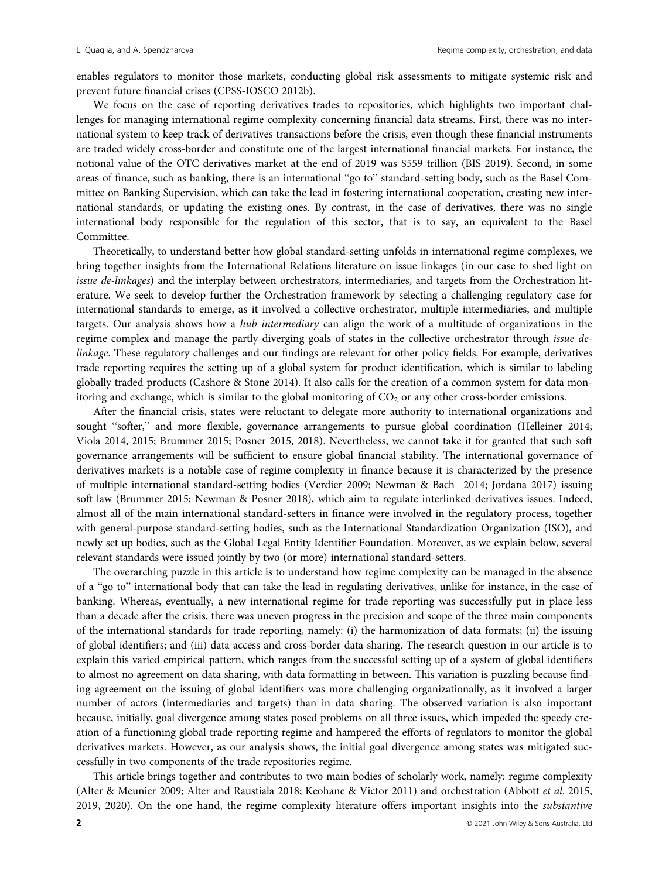enables regulators to monitor those markets, conducting global risk assessments to mitigate systemic risk and prevent future financial crises (CPSS-IOSCO 2012b).

We focus on the case of reporting derivatives trades to repositories, which highlights two important challenges for managing international regime complexity concerning financial data streams. First, there was no international system to keep track of derivatives transactions before the crisis, even though these financial instruments are traded widely cross-border and constitute one of the largest international financial markets. For instance, the notional value of the OTC derivatives market at the end of 2019 was \$559 trillion (BIS 2019). Second, in some areas of finance, such as banking, there is an international "go to" standard-setting body, such as the Basel Committee on Banking Supervision, which can take the lead in fostering international cooperation, creating new international standards, or updating the existing ones. By contrast, in the case of derivatives, there was no single international body responsible for the regulation of this sector, that is to say, an equivalent to the Basel Committee.

Theoretically, to understand better how global standard-setting unfolds in international regime complexes, we bring together insights from the International Relations literature on issue linkages (in our case to shed light on issue de-linkages) and the interplay between orchestrators, intermediaries, and targets from the Orchestration literature. We seek to develop further the Orchestration framework by selecting a challenging regulatory case for international standards to emerge, as it involved a collective orchestrator, multiple intermediaries, and multiple targets. Our analysis shows how a hub intermediary can align the work of a multitude of organizations in the regime complex and manage the partly diverging goals of states in the collective orchestrator through issue delinkage. These regulatory challenges and our findings are relevant for other policy fields. For example, derivatives trade reporting requires the setting up of a global system for product identification, which is similar to labeling globally traded products (Cashore & Stone 2014). It also calls for the creation of a common system for data monitoring and exchange, which is similar to the global monitoring of  $CO<sub>2</sub>$  or any other cross-border emissions.

After the financial crisis, states were reluctant to delegate more authority to international organizations and sought "softer," and more flexible, governance arrangements to pursue global coordination (Helleiner 2014; Viola 2014, 2015; Brummer 2015; Posner 2015, 2018). Nevertheless, we cannot take it for granted that such soft governance arrangements will be sufficient to ensure global financial stability. The international governance of derivatives markets is a notable case of regime complexity in finance because it is characterized by the presence of multiple international standard-setting bodies (Verdier 2009; Newman & Bach 2014; Jordana 2017) issuing soft law (Brummer 2015; Newman & Posner 2018), which aim to regulate interlinked derivatives issues. Indeed, almost all of the main international standard-setters in finance were involved in the regulatory process, together with general-purpose standard-setting bodies, such as the International Standardization Organization (ISO), and newly set up bodies, such as the Global Legal Entity Identifier Foundation. Moreover, as we explain below, several relevant standards were issued jointly by two (or more) international standard-setters.

The overarching puzzle in this article is to understand how regime complexity can be managed in the absence of a "go to" international body that can take the lead in regulating derivatives, unlike for instance, in the case of banking. Whereas, eventually, a new international regime for trade reporting was successfully put in place less than a decade after the crisis, there was uneven progress in the precision and scope of the three main components of the international standards for trade reporting, namely: (i) the harmonization of data formats; (ii) the issuing of global identifiers; and (iii) data access and cross-border data sharing. The research question in our article is to explain this varied empirical pattern, which ranges from the successful setting up of a system of global identifiers to almost no agreement on data sharing, with data formatting in between. This variation is puzzling because finding agreement on the issuing of global identifiers was more challenging organizationally, as it involved a larger number of actors (intermediaries and targets) than in data sharing. The observed variation is also important because, initially, goal divergence among states posed problems on all three issues, which impeded the speedy creation of a functioning global trade reporting regime and hampered the efforts of regulators to monitor the global derivatives markets. However, as our analysis shows, the initial goal divergence among states was mitigated successfully in two components of the trade repositories regime.

This article brings together and contributes to two main bodies of scholarly work, namely: regime complexity (Alter & Meunier 2009; Alter and Raustiala 2018; Keohane & Victor 2011) and orchestration (Abbott et al. 2015, 2019, 2020). On the one hand, the regime complexity literature offers important insights into the substantive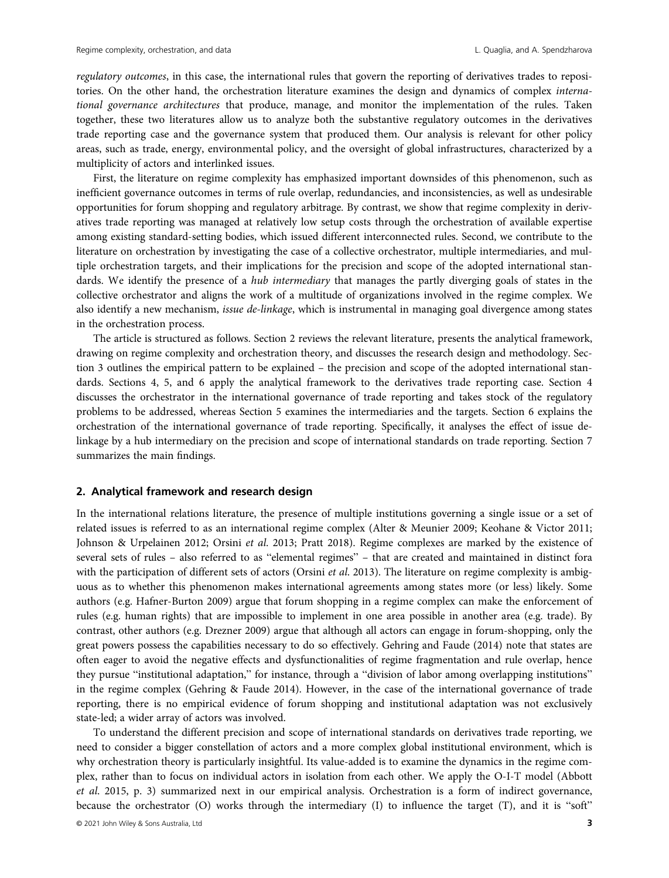regulatory outcomes, in this case, the international rules that govern the reporting of derivatives trades to repositories. On the other hand, the orchestration literature examines the design and dynamics of complex international governance architectures that produce, manage, and monitor the implementation of the rules. Taken together, these two literatures allow us to analyze both the substantive regulatory outcomes in the derivatives trade reporting case and the governance system that produced them. Our analysis is relevant for other policy areas, such as trade, energy, environmental policy, and the oversight of global infrastructures, characterized by a multiplicity of actors and interlinked issues.

First, the literature on regime complexity has emphasized important downsides of this phenomenon, such as inefficient governance outcomes in terms of rule overlap, redundancies, and inconsistencies, as well as undesirable opportunities for forum shopping and regulatory arbitrage. By contrast, we show that regime complexity in derivatives trade reporting was managed at relatively low setup costs through the orchestration of available expertise among existing standard-setting bodies, which issued different interconnected rules. Second, we contribute to the literature on orchestration by investigating the case of a collective orchestrator, multiple intermediaries, and multiple orchestration targets, and their implications for the precision and scope of the adopted international standards. We identify the presence of a *hub intermediary* that manages the partly diverging goals of states in the collective orchestrator and aligns the work of a multitude of organizations involved in the regime complex. We also identify a new mechanism, issue de-linkage, which is instrumental in managing goal divergence among states in the orchestration process.

The article is structured as follows. Section 2 reviews the relevant literature, presents the analytical framework, drawing on regime complexity and orchestration theory, and discusses the research design and methodology. Section 3 outlines the empirical pattern to be explained – the precision and scope of the adopted international standards. Sections 4, 5, and 6 apply the analytical framework to the derivatives trade reporting case. Section 4 discusses the orchestrator in the international governance of trade reporting and takes stock of the regulatory problems to be addressed, whereas Section 5 examines the intermediaries and the targets. Section 6 explains the orchestration of the international governance of trade reporting. Specifically, it analyses the effect of issue delinkage by a hub intermediary on the precision and scope of international standards on trade reporting. Section 7 summarizes the main findings.

## 2. Analytical framework and research design

In the international relations literature, the presence of multiple institutions governing a single issue or a set of related issues is referred to as an international regime complex (Alter & Meunier 2009; Keohane & Victor 2011; Johnson & Urpelainen 2012; Orsini et al. 2013; Pratt 2018). Regime complexes are marked by the existence of several sets of rules – also referred to as "elemental regimes" – that are created and maintained in distinct fora with the participation of different sets of actors (Orsini et al. 2013). The literature on regime complexity is ambiguous as to whether this phenomenon makes international agreements among states more (or less) likely. Some authors (e.g. Hafner-Burton 2009) argue that forum shopping in a regime complex can make the enforcement of rules (e.g. human rights) that are impossible to implement in one area possible in another area (e.g. trade). By contrast, other authors (e.g. Drezner 2009) argue that although all actors can engage in forum-shopping, only the great powers possess the capabilities necessary to do so effectively. Gehring and Faude (2014) note that states are often eager to avoid the negative effects and dysfunctionalities of regime fragmentation and rule overlap, hence they pursue "institutional adaptation," for instance, through a "division of labor among overlapping institutions" in the regime complex (Gehring & Faude 2014). However, in the case of the international governance of trade reporting, there is no empirical evidence of forum shopping and institutional adaptation was not exclusively state-led; a wider array of actors was involved.

To understand the different precision and scope of international standards on derivatives trade reporting, we need to consider a bigger constellation of actors and a more complex global institutional environment, which is why orchestration theory is particularly insightful. Its value-added is to examine the dynamics in the regime complex, rather than to focus on individual actors in isolation from each other. We apply the O-I-T model (Abbott et al. 2015, p. 3) summarized next in our empirical analysis. Orchestration is a form of indirect governance, because the orchestrator (O) works through the intermediary (I) to influence the target (T), and it is "soft"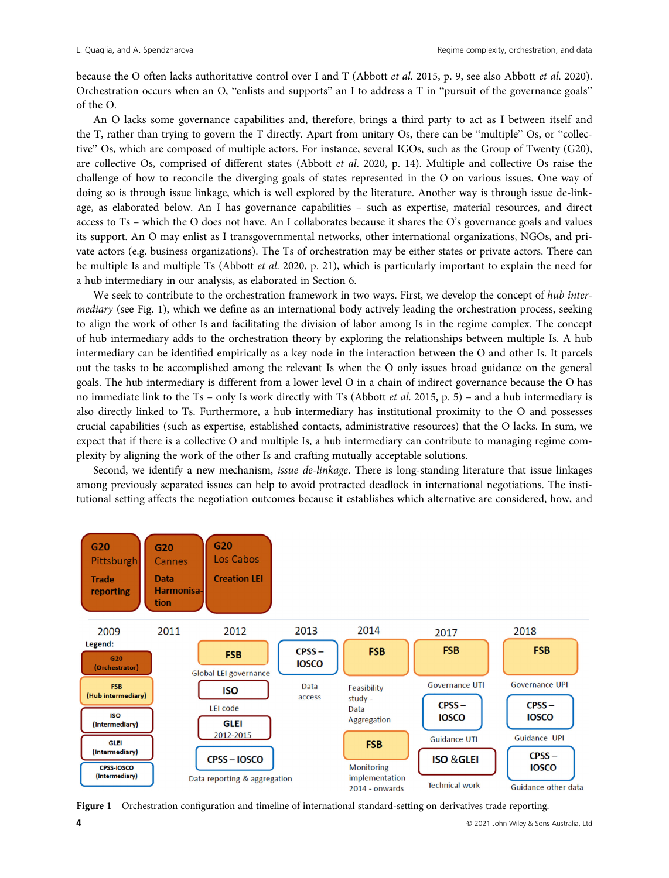because the O often lacks authoritative control over I and T (Abbott et al. 2015, p. 9, see also Abbott et al. 2020). Orchestration occurs when an O, "enlists and supports" an I to address a T in "pursuit of the governance goals" of the O.

An O lacks some governance capabilities and, therefore, brings a third party to act as I between itself and the T, rather than trying to govern the T directly. Apart from unitary Os, there can be "multiple" Os, or "collective" Os, which are composed of multiple actors. For instance, several IGOs, such as the Group of Twenty (G20), are collective Os, comprised of different states (Abbott et al. 2020, p. 14). Multiple and collective Os raise the challenge of how to reconcile the diverging goals of states represented in the O on various issues. One way of doing so is through issue linkage, which is well explored by the literature. Another way is through issue de-linkage, as elaborated below. An I has governance capabilities – such as expertise, material resources, and direct access to Ts – which the O does not have. An I collaborates because it shares the O's governance goals and values its support. An O may enlist as I transgovernmental networks, other international organizations, NGOs, and private actors (e.g. business organizations). The Ts of orchestration may be either states or private actors. There can be multiple Is and multiple Ts (Abbott *et al.* 2020, p. 21), which is particularly important to explain the need for a hub intermediary in our analysis, as elaborated in Section 6.

We seek to contribute to the orchestration framework in two ways. First, we develop the concept of hub intermediary (see Fig. 1), which we define as an international body actively leading the orchestration process, seeking to align the work of other Is and facilitating the division of labor among Is in the regime complex. The concept of hub intermediary adds to the orchestration theory by exploring the relationships between multiple Is. A hub intermediary can be identified empirically as a key node in the interaction between the O and other Is. It parcels out the tasks to be accomplished among the relevant Is when the O only issues broad guidance on the general goals. The hub intermediary is different from a lower level O in a chain of indirect governance because the O has no immediate link to the Ts – only Is work directly with Ts (Abbott *et al.* 2015, p. 5) – and a hub intermediary is also directly linked to Ts. Furthermore, a hub intermediary has institutional proximity to the O and possesses crucial capabilities (such as expertise, established contacts, administrative resources) that the O lacks. In sum, we expect that if there is a collective O and multiple Is, a hub intermediary can contribute to managing regime complexity by aligning the work of the other Is and crafting mutually acceptable solutions.

Second, we identify a new mechanism, *issue de-linkage*. There is long-standing literature that issue linkages among previously separated issues can help to avoid protracted deadlock in international negotiations. The institutional setting affects the negotiation outcomes because it establishes which alternative are considered, how, and



Figure 1 Orchestration configuration and timeline of international standard-setting on derivatives trade reporting.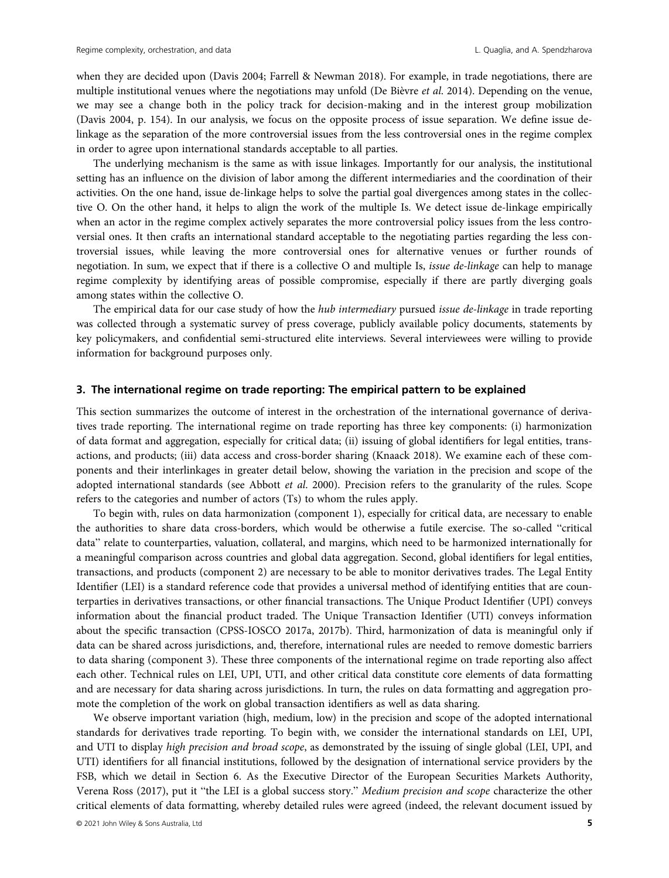when they are decided upon (Davis 2004; Farrell & Newman 2018). For example, in trade negotiations, there are multiple institutional venues where the negotiations may unfold (De Bièvre *et al.* 2014). Depending on the venue, we may see a change both in the policy track for decision-making and in the interest group mobilization (Davis 2004, p. 154). In our analysis, we focus on the opposite process of issue separation. We define issue delinkage as the separation of the more controversial issues from the less controversial ones in the regime complex in order to agree upon international standards acceptable to all parties.

The underlying mechanism is the same as with issue linkages. Importantly for our analysis, the institutional setting has an influence on the division of labor among the different intermediaries and the coordination of their activities. On the one hand, issue de-linkage helps to solve the partial goal divergences among states in the collective O. On the other hand, it helps to align the work of the multiple Is. We detect issue de-linkage empirically when an actor in the regime complex actively separates the more controversial policy issues from the less controversial ones. It then crafts an international standard acceptable to the negotiating parties regarding the less controversial issues, while leaving the more controversial ones for alternative venues or further rounds of negotiation. In sum, we expect that if there is a collective O and multiple Is, *issue de-linkage* can help to manage regime complexity by identifying areas of possible compromise, especially if there are partly diverging goals among states within the collective O.

The empirical data for our case study of how the *hub intermediary* pursued *issue de-linkage* in trade reporting was collected through a systematic survey of press coverage, publicly available policy documents, statements by key policymakers, and confidential semi-structured elite interviews. Several interviewees were willing to provide information for background purposes only.

## 3. The international regime on trade reporting: The empirical pattern to be explained

This section summarizes the outcome of interest in the orchestration of the international governance of derivatives trade reporting. The international regime on trade reporting has three key components: (i) harmonization of data format and aggregation, especially for critical data; (ii) issuing of global identifiers for legal entities, transactions, and products; (iii) data access and cross-border sharing (Knaack 2018). We examine each of these components and their interlinkages in greater detail below, showing the variation in the precision and scope of the adopted international standards (see Abbott et al. 2000). Precision refers to the granularity of the rules. Scope refers to the categories and number of actors (Ts) to whom the rules apply.

To begin with, rules on data harmonization (component 1), especially for critical data, are necessary to enable the authorities to share data cross-borders, which would be otherwise a futile exercise. The so-called "critical data" relate to counterparties, valuation, collateral, and margins, which need to be harmonized internationally for a meaningful comparison across countries and global data aggregation. Second, global identifiers for legal entities, transactions, and products (component 2) are necessary to be able to monitor derivatives trades. The Legal Entity Identifier (LEI) is a standard reference code that provides a universal method of identifying entities that are counterparties in derivatives transactions, or other financial transactions. The Unique Product Identifier (UPI) conveys information about the financial product traded. The Unique Transaction Identifier (UTI) conveys information about the specific transaction (CPSS-IOSCO 2017a, 2017b). Third, harmonization of data is meaningful only if data can be shared across jurisdictions, and, therefore, international rules are needed to remove domestic barriers to data sharing (component 3). These three components of the international regime on trade reporting also affect each other. Technical rules on LEI, UPI, UTI, and other critical data constitute core elements of data formatting and are necessary for data sharing across jurisdictions. In turn, the rules on data formatting and aggregation promote the completion of the work on global transaction identifiers as well as data sharing.

We observe important variation (high, medium, low) in the precision and scope of the adopted international standards for derivatives trade reporting. To begin with, we consider the international standards on LEI, UPI, and UTI to display high precision and broad scope, as demonstrated by the issuing of single global (LEI, UPI, and UTI) identifiers for all financial institutions, followed by the designation of international service providers by the FSB, which we detail in Section 6. As the Executive Director of the European Securities Markets Authority, Verena Ross (2017), put it "the LEI is a global success story." Medium precision and scope characterize the other critical elements of data formatting, whereby detailed rules were agreed (indeed, the relevant document issued by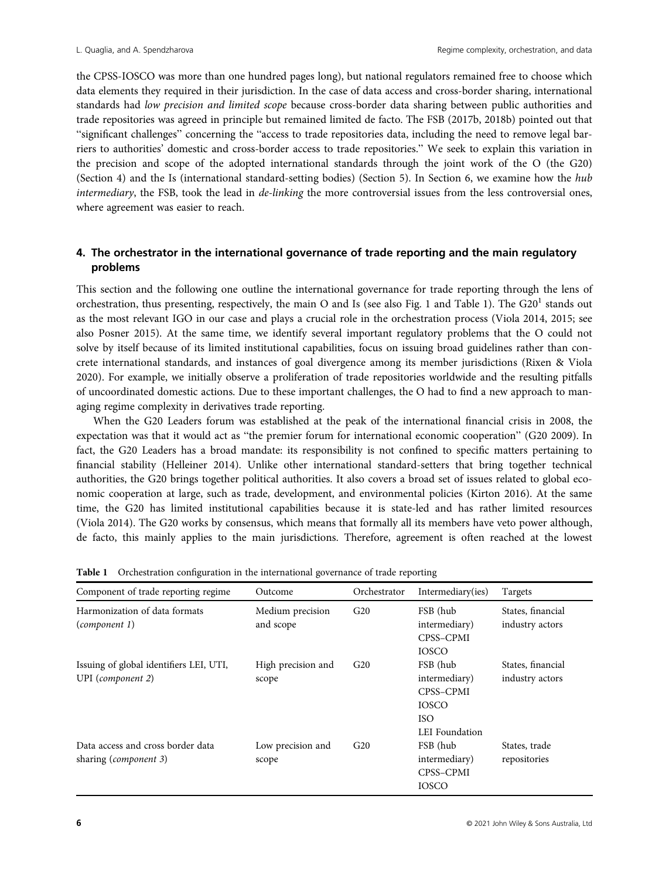the CPSS-IOSCO was more than one hundred pages long), but national regulators remained free to choose which data elements they required in their jurisdiction. In the case of data access and cross-border sharing, international standards had low precision and limited scope because cross-border data sharing between public authorities and trade repositories was agreed in principle but remained limited de facto. The FSB (2017b, 2018b) pointed out that "significant challenges" concerning the "access to trade repositories data, including the need to remove legal barriers to authorities' domestic and cross-border access to trade repositories." We seek to explain this variation in the precision and scope of the adopted international standards through the joint work of the O (the G20) (Section 4) and the Is (international standard-setting bodies) (Section 5). In Section 6, we examine how the hub intermediary, the FSB, took the lead in *de-linking* the more controversial issues from the less controversial ones, where agreement was easier to reach.

# 4. The orchestrator in the international governance of trade reporting and the main regulatory problems

This section and the following one outline the international governance for trade reporting through the lens of orchestration, thus presenting, respectively, the main O and Is (see also Fig. 1 and Table 1). The  $G20<sup>1</sup>$  stands out as the most relevant IGO in our case and plays a crucial role in the orchestration process (Viola 2014, 2015; see also Posner 2015). At the same time, we identify several important regulatory problems that the O could not solve by itself because of its limited institutional capabilities, focus on issuing broad guidelines rather than concrete international standards, and instances of goal divergence among its member jurisdictions (Rixen & Viola 2020). For example, we initially observe a proliferation of trade repositories worldwide and the resulting pitfalls of uncoordinated domestic actions. Due to these important challenges, the O had to find a new approach to managing regime complexity in derivatives trade reporting.

When the G20 Leaders forum was established at the peak of the international financial crisis in 2008, the expectation was that it would act as "the premier forum for international economic cooperation" (G20 2009). In fact, the G20 Leaders has a broad mandate: its responsibility is not confined to specific matters pertaining to financial stability (Helleiner 2014). Unlike other international standard-setters that bring together technical authorities, the G20 brings together political authorities. It also covers a broad set of issues related to global economic cooperation at large, such as trade, development, and environmental policies (Kirton 2016). At the same time, the G20 has limited institutional capabilities because it is state-led and has rather limited resources (Viola 2014). The G20 works by consensus, which means that formally all its members have veto power although, de facto, this mainly applies to the main jurisdictions. Therefore, agreement is often reached at the lowest

| Component of trade reporting regime                             | Outcome                       | Orchestrator | Intermediary(ies)                                                                             | Targets                              |
|-----------------------------------------------------------------|-------------------------------|--------------|-----------------------------------------------------------------------------------------------|--------------------------------------|
| Harmonization of data formats<br>(component 1)                  | Medium precision<br>and scope | G20          | FSB (hub<br>intermediary)<br>CPSS-CPMI<br><b>IOSCO</b>                                        | States, financial<br>industry actors |
| Issuing of global identifiers LEI, UTI,<br>UPI (component $2$ ) | High precision and<br>scope   | G20          | FSB (hub<br>intermediary)<br>CPSS-CPMI<br><b>IOSCO</b><br><b>ISO</b><br><b>LEI</b> Foundation | States, financial<br>industry actors |
| Data access and cross border data<br>sharing (component 3)      | Low precision and<br>scope    | G20          | FSB (hub<br>intermediary)<br>CPSS-CPMI<br><b>IOSCO</b>                                        | States, trade<br>repositories        |

Table 1 Orchestration configuration in the international governance of trade reporting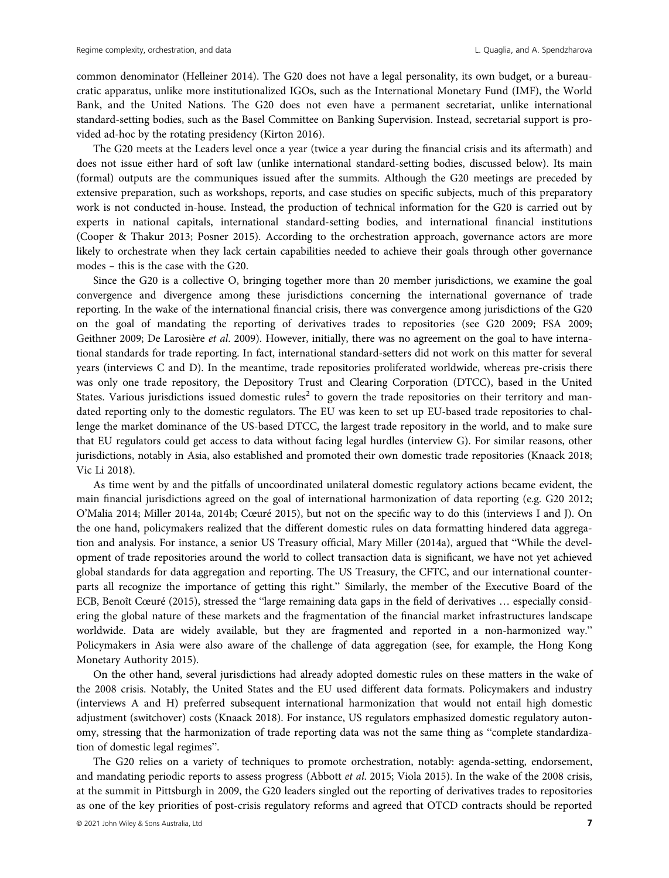common denominator (Helleiner 2014). The G20 does not have a legal personality, its own budget, or a bureaucratic apparatus, unlike more institutionalized IGOs, such as the International Monetary Fund (IMF), the World Bank, and the United Nations. The G20 does not even have a permanent secretariat, unlike international standard-setting bodies, such as the Basel Committee on Banking Supervision. Instead, secretarial support is provided ad-hoc by the rotating presidency (Kirton 2016).

The G20 meets at the Leaders level once a year (twice a year during the financial crisis and its aftermath) and does not issue either hard of soft law (unlike international standard-setting bodies, discussed below). Its main (formal) outputs are the communiques issued after the summits. Although the G20 meetings are preceded by extensive preparation, such as workshops, reports, and case studies on specific subjects, much of this preparatory work is not conducted in-house. Instead, the production of technical information for the G20 is carried out by experts in national capitals, international standard-setting bodies, and international financial institutions (Cooper & Thakur 2013; Posner 2015). According to the orchestration approach, governance actors are more likely to orchestrate when they lack certain capabilities needed to achieve their goals through other governance modes – this is the case with the G20.

Since the G20 is a collective O, bringing together more than 20 member jurisdictions, we examine the goal convergence and divergence among these jurisdictions concerning the international governance of trade reporting. In the wake of the international financial crisis, there was convergence among jurisdictions of the G20 on the goal of mandating the reporting of derivatives trades to repositories (see G20 2009; FSA 2009; Geithner 2009; De Larosière et al. 2009). However, initially, there was no agreement on the goal to have international standards for trade reporting. In fact, international standard-setters did not work on this matter for several years (interviews C and D). In the meantime, trade repositories proliferated worldwide, whereas pre-crisis there was only one trade repository, the Depository Trust and Clearing Corporation (DTCC), based in the United States. Various jurisdictions issued domestic rules<sup>2</sup> to govern the trade repositories on their territory and mandated reporting only to the domestic regulators. The EU was keen to set up EU-based trade repositories to challenge the market dominance of the US-based DTCC, the largest trade repository in the world, and to make sure that EU regulators could get access to data without facing legal hurdles (interview G). For similar reasons, other jurisdictions, notably in Asia, also established and promoted their own domestic trade repositories (Knaack 2018; Vic Li 2018).

As time went by and the pitfalls of uncoordinated unilateral domestic regulatory actions became evident, the main financial jurisdictions agreed on the goal of international harmonization of data reporting (e.g. G20 2012; O'Malia 2014; Miller 2014a, 2014b; Cœuré 2015), but not on the specific way to do this (interviews I and J). On the one hand, policymakers realized that the different domestic rules on data formatting hindered data aggregation and analysis. For instance, a senior US Treasury official, Mary Miller (2014a), argued that "While the development of trade repositories around the world to collect transaction data is significant, we have not yet achieved global standards for data aggregation and reporting. The US Treasury, the CFTC, and our international counterparts all recognize the importance of getting this right." Similarly, the member of the Executive Board of the ECB, Benoît Cœuré (2015), stressed the "large remaining data gaps in the field of derivatives … especially considering the global nature of these markets and the fragmentation of the financial market infrastructures landscape worldwide. Data are widely available, but they are fragmented and reported in a non-harmonized way." Policymakers in Asia were also aware of the challenge of data aggregation (see, for example, the Hong Kong Monetary Authority 2015).

On the other hand, several jurisdictions had already adopted domestic rules on these matters in the wake of the 2008 crisis. Notably, the United States and the EU used different data formats. Policymakers and industry (interviews A and H) preferred subsequent international harmonization that would not entail high domestic adjustment (switchover) costs (Knaack 2018). For instance, US regulators emphasized domestic regulatory autonomy, stressing that the harmonization of trade reporting data was not the same thing as "complete standardization of domestic legal regimes".

The G20 relies on a variety of techniques to promote orchestration, notably: agenda-setting, endorsement, and mandating periodic reports to assess progress (Abbott et al. 2015; Viola 2015). In the wake of the 2008 crisis, at the summit in Pittsburgh in 2009, the G20 leaders singled out the reporting of derivatives trades to repositories as one of the key priorities of post-crisis regulatory reforms and agreed that OTCD contracts should be reported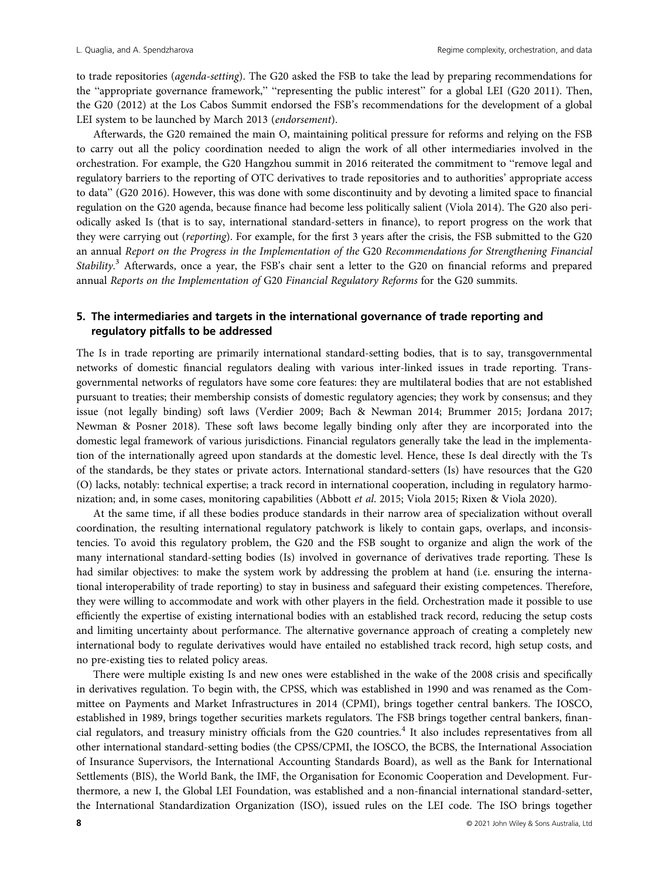to trade repositories (agenda-setting). The G20 asked the FSB to take the lead by preparing recommendations for the "appropriate governance framework," "representing the public interest" for a global LEI (G20 2011). Then, the G20 (2012) at the Los Cabos Summit endorsed the FSB's recommendations for the development of a global LEI system to be launched by March 2013 (endorsement).

Afterwards, the G20 remained the main O, maintaining political pressure for reforms and relying on the FSB to carry out all the policy coordination needed to align the work of all other intermediaries involved in the orchestration. For example, the G20 Hangzhou summit in 2016 reiterated the commitment to "remove legal and regulatory barriers to the reporting of OTC derivatives to trade repositories and to authorities' appropriate access to data" (G20 2016). However, this was done with some discontinuity and by devoting a limited space to financial regulation on the G20 agenda, because finance had become less politically salient (Viola 2014). The G20 also periodically asked Is (that is to say, international standard-setters in finance), to report progress on the work that they were carrying out (reporting). For example, for the first 3 years after the crisis, the FSB submitted to the G20 an annual Report on the Progress in the Implementation of the G20 Recommendations for Strengthening Financial Stability.<sup>3</sup> Afterwards, once a year, the FSB's chair sent a letter to the G20 on financial reforms and prepared annual Reports on the Implementation of G20 Financial Regulatory Reforms for the G20 summits.

# 5. The intermediaries and targets in the international governance of trade reporting and regulatory pitfalls to be addressed

The Is in trade reporting are primarily international standard-setting bodies, that is to say, transgovernmental networks of domestic financial regulators dealing with various inter-linked issues in trade reporting. Transgovernmental networks of regulators have some core features: they are multilateral bodies that are not established pursuant to treaties; their membership consists of domestic regulatory agencies; they work by consensus; and they issue (not legally binding) soft laws (Verdier 2009; Bach & Newman 2014; Brummer 2015; Jordana 2017; Newman & Posner 2018). These soft laws become legally binding only after they are incorporated into the domestic legal framework of various jurisdictions. Financial regulators generally take the lead in the implementation of the internationally agreed upon standards at the domestic level. Hence, these Is deal directly with the Ts of the standards, be they states or private actors. International standard-setters (Is) have resources that the G20 (O) lacks, notably: technical expertise; a track record in international cooperation, including in regulatory harmonization; and, in some cases, monitoring capabilities (Abbott et al. 2015; Viola 2015; Rixen & Viola 2020).

At the same time, if all these bodies produce standards in their narrow area of specialization without overall coordination, the resulting international regulatory patchwork is likely to contain gaps, overlaps, and inconsistencies. To avoid this regulatory problem, the G20 and the FSB sought to organize and align the work of the many international standard-setting bodies (Is) involved in governance of derivatives trade reporting. These Is had similar objectives: to make the system work by addressing the problem at hand (i.e. ensuring the international interoperability of trade reporting) to stay in business and safeguard their existing competences. Therefore, they were willing to accommodate and work with other players in the field. Orchestration made it possible to use efficiently the expertise of existing international bodies with an established track record, reducing the setup costs and limiting uncertainty about performance. The alternative governance approach of creating a completely new international body to regulate derivatives would have entailed no established track record, high setup costs, and no pre-existing ties to related policy areas.

There were multiple existing Is and new ones were established in the wake of the 2008 crisis and specifically in derivatives regulation. To begin with, the CPSS, which was established in 1990 and was renamed as the Committee on Payments and Market Infrastructures in 2014 (CPMI), brings together central bankers. The IOSCO, established in 1989, brings together securities markets regulators. The FSB brings together central bankers, financial regulators, and treasury ministry officials from the G20 countries.<sup>4</sup> It also includes representatives from all other international standard-setting bodies (the CPSS/CPMI, the IOSCO, the BCBS, the International Association of Insurance Supervisors, the International Accounting Standards Board), as well as the Bank for International Settlements (BIS), the World Bank, the IMF, the Organisation for Economic Cooperation and Development. Furthermore, a new I, the Global LEI Foundation, was established and a non-financial international standard-setter, the International Standardization Organization (ISO), issued rules on the LEI code. The ISO brings together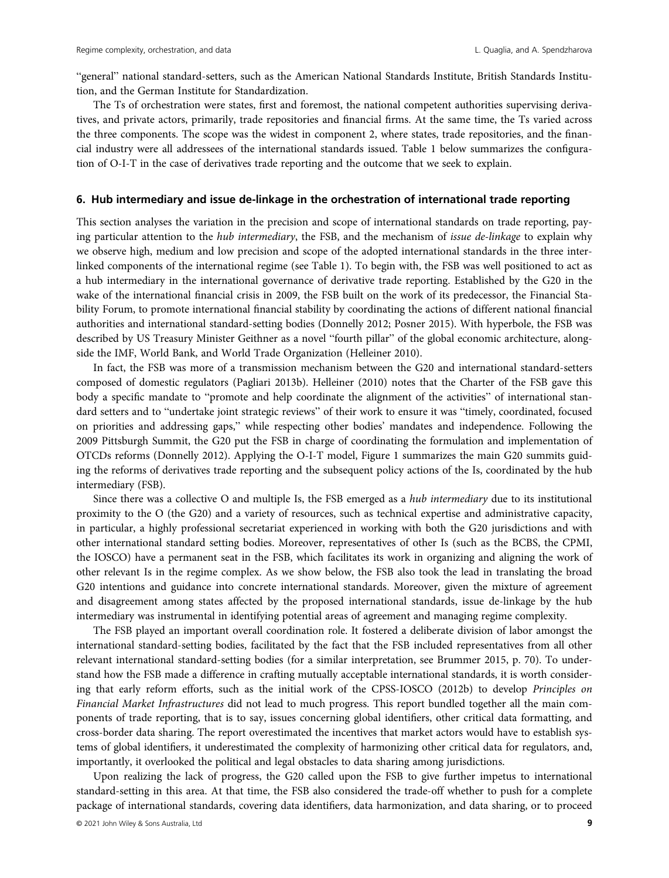"general" national standard-setters, such as the American National Standards Institute, British Standards Institution, and the German Institute for Standardization.

The Ts of orchestration were states, first and foremost, the national competent authorities supervising derivatives, and private actors, primarily, trade repositories and financial firms. At the same time, the Ts varied across the three components. The scope was the widest in component 2, where states, trade repositories, and the financial industry were all addressees of the international standards issued. Table 1 below summarizes the configuration of O-I-T in the case of derivatives trade reporting and the outcome that we seek to explain.

## 6. Hub intermediary and issue de-linkage in the orchestration of international trade reporting

This section analyses the variation in the precision and scope of international standards on trade reporting, paying particular attention to the *hub intermediary*, the FSB, and the mechanism of *issue de-linkage* to explain why we observe high, medium and low precision and scope of the adopted international standards in the three interlinked components of the international regime (see Table 1). To begin with, the FSB was well positioned to act as a hub intermediary in the international governance of derivative trade reporting. Established by the G20 in the wake of the international financial crisis in 2009, the FSB built on the work of its predecessor, the Financial Stability Forum, to promote international financial stability by coordinating the actions of different national financial authorities and international standard-setting bodies (Donnelly 2012; Posner 2015). With hyperbole, the FSB was described by US Treasury Minister Geithner as a novel "fourth pillar" of the global economic architecture, alongside the IMF, World Bank, and World Trade Organization (Helleiner 2010).

In fact, the FSB was more of a transmission mechanism between the G20 and international standard-setters composed of domestic regulators (Pagliari 2013b). Helleiner (2010) notes that the Charter of the FSB gave this body a specific mandate to "promote and help coordinate the alignment of the activities" of international standard setters and to "undertake joint strategic reviews" of their work to ensure it was "timely, coordinated, focused on priorities and addressing gaps," while respecting other bodies' mandates and independence. Following the 2009 Pittsburgh Summit, the G20 put the FSB in charge of coordinating the formulation and implementation of OTCDs reforms (Donnelly 2012). Applying the O-I-T model, Figure 1 summarizes the main G20 summits guiding the reforms of derivatives trade reporting and the subsequent policy actions of the Is, coordinated by the hub intermediary (FSB).

Since there was a collective O and multiple Is, the FSB emerged as a hub intermediary due to its institutional proximity to the O (the G20) and a variety of resources, such as technical expertise and administrative capacity, in particular, a highly professional secretariat experienced in working with both the G20 jurisdictions and with other international standard setting bodies. Moreover, representatives of other Is (such as the BCBS, the CPMI, the IOSCO) have a permanent seat in the FSB, which facilitates its work in organizing and aligning the work of other relevant Is in the regime complex. As we show below, the FSB also took the lead in translating the broad G20 intentions and guidance into concrete international standards. Moreover, given the mixture of agreement and disagreement among states affected by the proposed international standards, issue de-linkage by the hub intermediary was instrumental in identifying potential areas of agreement and managing regime complexity.

The FSB played an important overall coordination role. It fostered a deliberate division of labor amongst the international standard-setting bodies, facilitated by the fact that the FSB included representatives from all other relevant international standard-setting bodies (for a similar interpretation, see Brummer 2015, p. 70). To understand how the FSB made a difference in crafting mutually acceptable international standards, it is worth considering that early reform efforts, such as the initial work of the CPSS-IOSCO (2012b) to develop Principles on Financial Market Infrastructures did not lead to much progress. This report bundled together all the main components of trade reporting, that is to say, issues concerning global identifiers, other critical data formatting, and cross-border data sharing. The report overestimated the incentives that market actors would have to establish systems of global identifiers, it underestimated the complexity of harmonizing other critical data for regulators, and, importantly, it overlooked the political and legal obstacles to data sharing among jurisdictions.

Upon realizing the lack of progress, the G20 called upon the FSB to give further impetus to international standard-setting in this area. At that time, the FSB also considered the trade-off whether to push for a complete package of international standards, covering data identifiers, data harmonization, and data sharing, or to proceed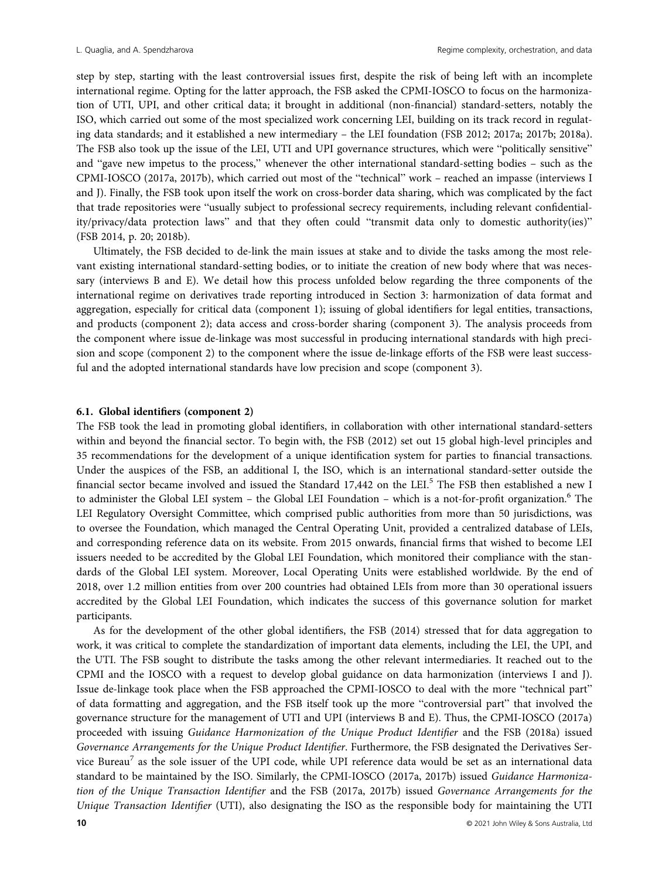step by step, starting with the least controversial issues first, despite the risk of being left with an incomplete international regime. Opting for the latter approach, the FSB asked the CPMI-IOSCO to focus on the harmonization of UTI, UPI, and other critical data; it brought in additional (non-financial) standard-setters, notably the ISO, which carried out some of the most specialized work concerning LEI, building on its track record in regulating data standards; and it established a new intermediary – the LEI foundation (FSB 2012; 2017a; 2017b; 2018a). The FSB also took up the issue of the LEI, UTI and UPI governance structures, which were "politically sensitive" and "gave new impetus to the process," whenever the other international standard-setting bodies – such as the CPMI-IOSCO (2017a, 2017b), which carried out most of the "technical" work – reached an impasse (interviews I and J). Finally, the FSB took upon itself the work on cross-border data sharing, which was complicated by the fact that trade repositories were "usually subject to professional secrecy requirements, including relevant confidentiality/privacy/data protection laws" and that they often could "transmit data only to domestic authority(ies)" (FSB 2014, p. 20; 2018b).

Ultimately, the FSB decided to de-link the main issues at stake and to divide the tasks among the most relevant existing international standard-setting bodies, or to initiate the creation of new body where that was necessary (interviews B and E). We detail how this process unfolded below regarding the three components of the international regime on derivatives trade reporting introduced in Section 3: harmonization of data format and aggregation, especially for critical data (component 1); issuing of global identifiers for legal entities, transactions, and products (component 2); data access and cross-border sharing (component 3). The analysis proceeds from the component where issue de-linkage was most successful in producing international standards with high precision and scope (component 2) to the component where the issue de-linkage efforts of the FSB were least successful and the adopted international standards have low precision and scope (component 3).

## 6.1. Global identifiers (component 2)

The FSB took the lead in promoting global identifiers, in collaboration with other international standard-setters within and beyond the financial sector. To begin with, the FSB (2012) set out 15 global high-level principles and 35 recommendations for the development of a unique identification system for parties to financial transactions. Under the auspices of the FSB, an additional I, the ISO, which is an international standard-setter outside the financial sector became involved and issued the Standard 17,442 on the LEI.<sup>5</sup> The FSB then established a new I to administer the Global LEI system – the Global LEI Foundation – which is a not-for-profit organization.<sup>6</sup> The LEI Regulatory Oversight Committee, which comprised public authorities from more than 50 jurisdictions, was to oversee the Foundation, which managed the Central Operating Unit, provided a centralized database of LEIs, and corresponding reference data on its website. From 2015 onwards, financial firms that wished to become LEI issuers needed to be accredited by the Global LEI Foundation, which monitored their compliance with the standards of the Global LEI system. Moreover, Local Operating Units were established worldwide. By the end of 2018, over 1.2 million entities from over 200 countries had obtained LEIs from more than 30 operational issuers accredited by the Global LEI Foundation, which indicates the success of this governance solution for market participants.

As for the development of the other global identifiers, the FSB (2014) stressed that for data aggregation to work, it was critical to complete the standardization of important data elements, including the LEI, the UPI, and the UTI. The FSB sought to distribute the tasks among the other relevant intermediaries. It reached out to the CPMI and the IOSCO with a request to develop global guidance on data harmonization (interviews I and J). Issue de-linkage took place when the FSB approached the CPMI-IOSCO to deal with the more "technical part" of data formatting and aggregation, and the FSB itself took up the more "controversial part" that involved the governance structure for the management of UTI and UPI (interviews B and E). Thus, the CPMI-IOSCO (2017a) proceeded with issuing Guidance Harmonization of the Unique Product Identifier and the FSB (2018a) issued Governance Arrangements for the Unique Product Identifier. Furthermore, the FSB designated the Derivatives Service Bureau<sup>7</sup> as the sole issuer of the UPI code, while UPI reference data would be set as an international data standard to be maintained by the ISO. Similarly, the CPMI-IOSCO (2017a, 2017b) issued Guidance Harmonization of the Unique Transaction Identifier and the FSB (2017a, 2017b) issued Governance Arrangements for the Unique Transaction Identifier (UTI), also designating the ISO as the responsible body for maintaining the UTI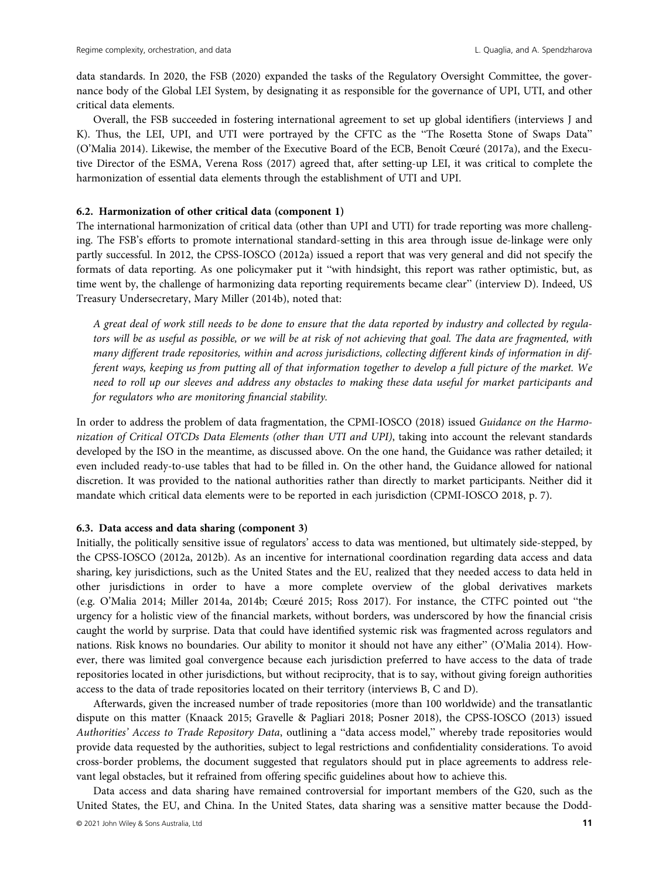data standards. In 2020, the FSB (2020) expanded the tasks of the Regulatory Oversight Committee, the governance body of the Global LEI System, by designating it as responsible for the governance of UPI, UTI, and other critical data elements.

Overall, the FSB succeeded in fostering international agreement to set up global identifiers (interviews J and K). Thus, the LEI, UPI, and UTI were portrayed by the CFTC as the "The Rosetta Stone of Swaps Data" (O'Malia 2014). Likewise, the member of the Executive Board of the ECB, Benoît Cœuré (2017a), and the Executive Director of the ESMA, Verena Ross (2017) agreed that, after setting-up LEI, it was critical to complete the harmonization of essential data elements through the establishment of UTI and UPI.

## 6.2. Harmonization of other critical data (component 1)

The international harmonization of critical data (other than UPI and UTI) for trade reporting was more challenging. The FSB's efforts to promote international standard-setting in this area through issue de-linkage were only partly successful. In 2012, the CPSS-IOSCO (2012a) issued a report that was very general and did not specify the formats of data reporting. As one policymaker put it "with hindsight, this report was rather optimistic, but, as time went by, the challenge of harmonizing data reporting requirements became clear" (interview D). Indeed, US Treasury Undersecretary, Mary Miller (2014b), noted that:

A great deal of work still needs to be done to ensure that the data reported by industry and collected by regulators will be as useful as possible, or we will be at risk of not achieving that goal. The data are fragmented, with many different trade repositories, within and across jurisdictions, collecting different kinds of information in different ways, keeping us from putting all of that information together to develop a full picture of the market. We need to roll up our sleeves and address any obstacles to making these data useful for market participants and for regulators who are monitoring financial stability.

In order to address the problem of data fragmentation, the CPMI-IOSCO (2018) issued Guidance on the Harmonization of Critical OTCDs Data Elements (other than UTI and UPI), taking into account the relevant standards developed by the ISO in the meantime, as discussed above. On the one hand, the Guidance was rather detailed; it even included ready-to-use tables that had to be filled in. On the other hand, the Guidance allowed for national discretion. It was provided to the national authorities rather than directly to market participants. Neither did it mandate which critical data elements were to be reported in each jurisdiction (CPMI-IOSCO 2018, p. 7).

## 6.3. Data access and data sharing (component 3)

Initially, the politically sensitive issue of regulators' access to data was mentioned, but ultimately side-stepped, by the CPSS-IOSCO (2012a, 2012b). As an incentive for international coordination regarding data access and data sharing, key jurisdictions, such as the United States and the EU, realized that they needed access to data held in other jurisdictions in order to have a more complete overview of the global derivatives markets (e.g. O'Malia 2014; Miller 2014a, 2014b; Cœuré 2015; Ross 2017). For instance, the CTFC pointed out "the urgency for a holistic view of the financial markets, without borders, was underscored by how the financial crisis caught the world by surprise. Data that could have identified systemic risk was fragmented across regulators and nations. Risk knows no boundaries. Our ability to monitor it should not have any either" (O'Malia 2014). However, there was limited goal convergence because each jurisdiction preferred to have access to the data of trade repositories located in other jurisdictions, but without reciprocity, that is to say, without giving foreign authorities access to the data of trade repositories located on their territory (interviews B, C and D).

Afterwards, given the increased number of trade repositories (more than 100 worldwide) and the transatlantic dispute on this matter (Knaack 2015; Gravelle & Pagliari 2018; Posner 2018), the CPSS-IOSCO (2013) issued Authorities' Access to Trade Repository Data, outlining a "data access model," whereby trade repositories would provide data requested by the authorities, subject to legal restrictions and confidentiality considerations. To avoid cross-border problems, the document suggested that regulators should put in place agreements to address relevant legal obstacles, but it refrained from offering specific guidelines about how to achieve this.

Data access and data sharing have remained controversial for important members of the G20, such as the United States, the EU, and China. In the United States, data sharing was a sensitive matter because the Dodd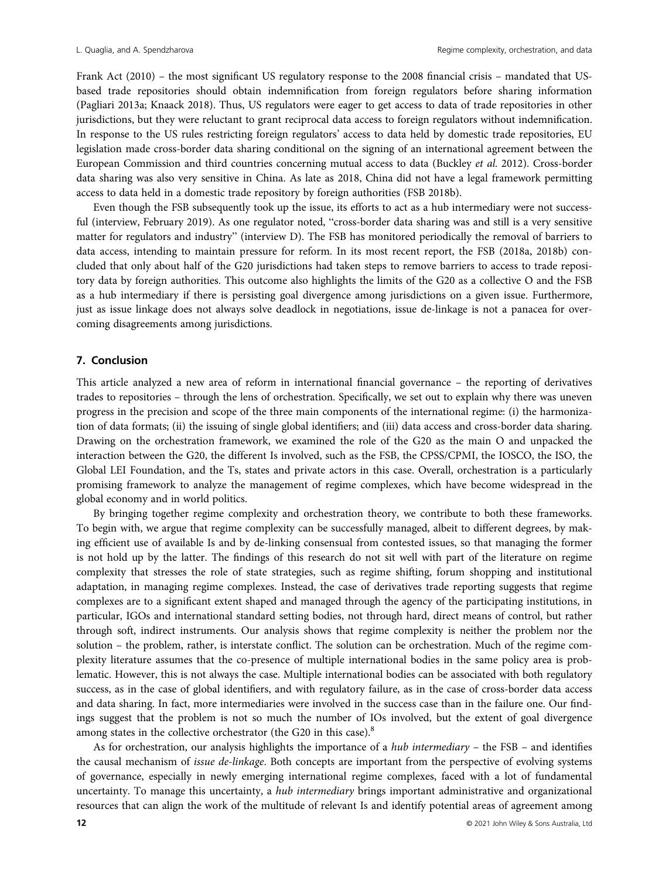Frank Act (2010) – the most significant US regulatory response to the 2008 financial crisis – mandated that USbased trade repositories should obtain indemnification from foreign regulators before sharing information (Pagliari 2013a; Knaack 2018). Thus, US regulators were eager to get access to data of trade repositories in other jurisdictions, but they were reluctant to grant reciprocal data access to foreign regulators without indemnification. In response to the US rules restricting foreign regulators' access to data held by domestic trade repositories, EU legislation made cross-border data sharing conditional on the signing of an international agreement between the European Commission and third countries concerning mutual access to data (Buckley et al. 2012). Cross-border data sharing was also very sensitive in China. As late as 2018, China did not have a legal framework permitting access to data held in a domestic trade repository by foreign authorities (FSB 2018b).

Even though the FSB subsequently took up the issue, its efforts to act as a hub intermediary were not successful (interview, February 2019). As one regulator noted, "cross-border data sharing was and still is a very sensitive matter for regulators and industry" (interview D). The FSB has monitored periodically the removal of barriers to data access, intending to maintain pressure for reform. In its most recent report, the FSB (2018a, 2018b) concluded that only about half of the G20 jurisdictions had taken steps to remove barriers to access to trade repository data by foreign authorities. This outcome also highlights the limits of the G20 as a collective O and the FSB as a hub intermediary if there is persisting goal divergence among jurisdictions on a given issue. Furthermore, just as issue linkage does not always solve deadlock in negotiations, issue de-linkage is not a panacea for overcoming disagreements among jurisdictions.

## 7. Conclusion

This article analyzed a new area of reform in international financial governance – the reporting of derivatives trades to repositories – through the lens of orchestration. Specifically, we set out to explain why there was uneven progress in the precision and scope of the three main components of the international regime: (i) the harmonization of data formats; (ii) the issuing of single global identifiers; and (iii) data access and cross-border data sharing. Drawing on the orchestration framework, we examined the role of the G20 as the main O and unpacked the interaction between the G20, the different Is involved, such as the FSB, the CPSS/CPMI, the IOSCO, the ISO, the Global LEI Foundation, and the Ts, states and private actors in this case. Overall, orchestration is a particularly promising framework to analyze the management of regime complexes, which have become widespread in the global economy and in world politics.

By bringing together regime complexity and orchestration theory, we contribute to both these frameworks. To begin with, we argue that regime complexity can be successfully managed, albeit to different degrees, by making efficient use of available Is and by de-linking consensual from contested issues, so that managing the former is not hold up by the latter. The findings of this research do not sit well with part of the literature on regime complexity that stresses the role of state strategies, such as regime shifting, forum shopping and institutional adaptation, in managing regime complexes. Instead, the case of derivatives trade reporting suggests that regime complexes are to a significant extent shaped and managed through the agency of the participating institutions, in particular, IGOs and international standard setting bodies, not through hard, direct means of control, but rather through soft, indirect instruments. Our analysis shows that regime complexity is neither the problem nor the solution – the problem, rather, is interstate conflict. The solution can be orchestration. Much of the regime complexity literature assumes that the co-presence of multiple international bodies in the same policy area is problematic. However, this is not always the case. Multiple international bodies can be associated with both regulatory success, as in the case of global identifiers, and with regulatory failure, as in the case of cross-border data access and data sharing. In fact, more intermediaries were involved in the success case than in the failure one. Our findings suggest that the problem is not so much the number of IOs involved, but the extent of goal divergence among states in the collective orchestrator (the G20 in this case).<sup>8</sup>

As for orchestration, our analysis highlights the importance of a hub intermediary – the FSB – and identifies the causal mechanism of *issue de-linkage*. Both concepts are important from the perspective of evolving systems of governance, especially in newly emerging international regime complexes, faced with a lot of fundamental uncertainty. To manage this uncertainty, a *hub intermediary* brings important administrative and organizational resources that can align the work of the multitude of relevant Is and identify potential areas of agreement among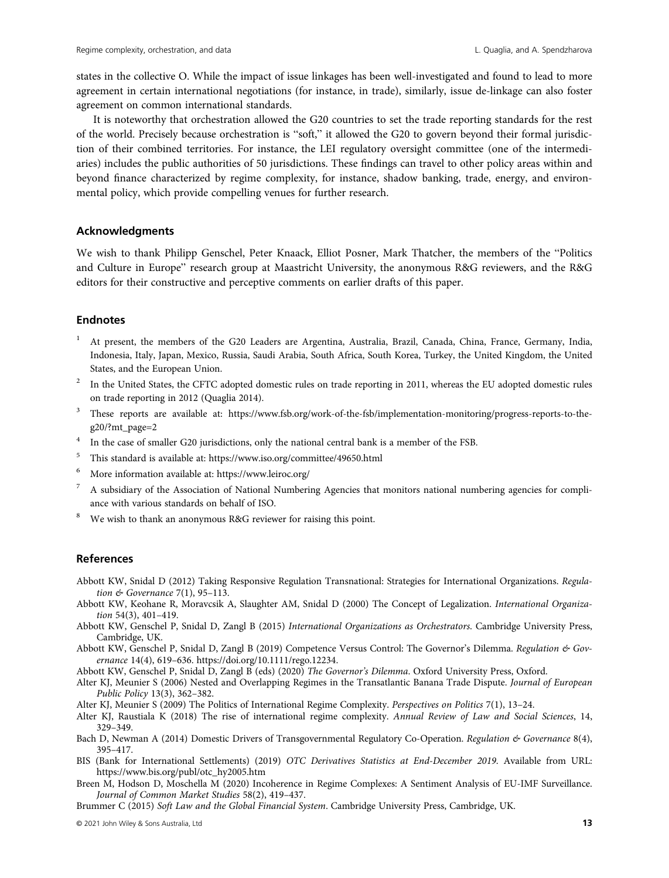states in the collective O. While the impact of issue linkages has been well-investigated and found to lead to more agreement in certain international negotiations (for instance, in trade), similarly, issue de-linkage can also foster agreement on common international standards.

It is noteworthy that orchestration allowed the G20 countries to set the trade reporting standards for the rest of the world. Precisely because orchestration is "soft," it allowed the G20 to govern beyond their formal jurisdiction of their combined territories. For instance, the LEI regulatory oversight committee (one of the intermediaries) includes the public authorities of 50 jurisdictions. These findings can travel to other policy areas within and beyond finance characterized by regime complexity, for instance, shadow banking, trade, energy, and environmental policy, which provide compelling venues for further research.

## Acknowledgments

We wish to thank Philipp Genschel, Peter Knaack, Elliot Posner, Mark Thatcher, the members of the "Politics and Culture in Europe" research group at Maastricht University, the anonymous R&G reviewers, and the R&G editors for their constructive and perceptive comments on earlier drafts of this paper.

## **Endnotes**

- <sup>1</sup> At present, the members of the G20 Leaders are Argentina, Australia, Brazil, Canada, China, France, Germany, India, Indonesia, Italy, Japan, Mexico, Russia, Saudi Arabia, South Africa, South Korea, Turkey, the United Kingdom, the United States, and the European Union.
- <sup>2</sup> In the United States, the CFTC adopted domestic rules on trade reporting in 2011, whereas the EU adopted domestic rules on trade reporting in 2012 (Quaglia 2014).
- <sup>3</sup> These reports are available at: [https://www.fsb.org/work-of-the-fsb/implementation-monitoring/progress-reports-to-the](https://www.fsb.org/work-of-the-fsb/implementation-monitoring/progress-reports-to-the-g20/?mt_page=2)[g20/?mt\\_page=2](https://www.fsb.org/work-of-the-fsb/implementation-monitoring/progress-reports-to-the-g20/?mt_page=2)
- <sup>4</sup> In the case of smaller G20 jurisdictions, only the national central bank is a member of the FSB.
- <sup>5</sup> This standard is available at:<https://www.iso.org/committee/49650.html>
- More information available at:<https://www.leiroc.org/>
- $\frac{7}{10}$  A subsidiary of the Association of National Numbering Agencies that monitors national numbering agencies for compliance with various standards on behalf of ISO.
- <sup>8</sup> We wish to thank an anonymous R&G reviewer for raising this point.

#### References

- Abbott KW, Snidal D (2012) Taking Responsive Regulation Transnational: Strategies for International Organizations. Regulation & Governance 7(1), 95-113.
- Abbott KW, Keohane R, Moravcsik A, Slaughter AM, Snidal D (2000) The Concept of Legalization. International Organization 54(3), 401–419.
- Abbott KW, Genschel P, Snidal D, Zangl B (2015) International Organizations as Orchestrators. Cambridge University Press, Cambridge, UK.
- Abbott KW, Genschel P, Snidal D, Zangl B (2019) Competence Versus Control: The Governor's Dilemma. Regulation & Governance 14(4), 619–636.<https://doi.org/10.1111/rego.12234>.
- Abbott KW, Genschel P, Snidal D, Zangl B (eds) (2020) The Governor's Dilemma. Oxford University Press, Oxford.
- Alter KJ, Meunier S (2006) Nested and Overlapping Regimes in the Transatlantic Banana Trade Dispute. Journal of European Public Policy 13(3), 362–382.
- Alter KJ, Meunier S (2009) The Politics of International Regime Complexity. Perspectives on Politics 7(1), 13–24.
- Alter KJ, Raustiala K (2018) The rise of international regime complexity. Annual Review of Law and Social Sciences, 14, 329–349.
- Bach D, Newman A (2014) Domestic Drivers of Transgovernmental Regulatory Co-Operation. Regulation & Governance 8(4), 395–417.
- BIS (Bank for International Settlements) (2019) OTC Derivatives Statistics at End-December 2019. Available from URL: [https://www.bis.org/publ/otc\\_hy2005.htm](https://www.bis.org/publ/otc_hy2005.htm)
- Breen M, Hodson D, Moschella M (2020) Incoherence in Regime Complexes: A Sentiment Analysis of EU-IMF Surveillance. Journal of Common Market Studies 58(2), 419–437.

Brummer C (2015) Soft Law and the Global Financial System. Cambridge University Press, Cambridge, UK.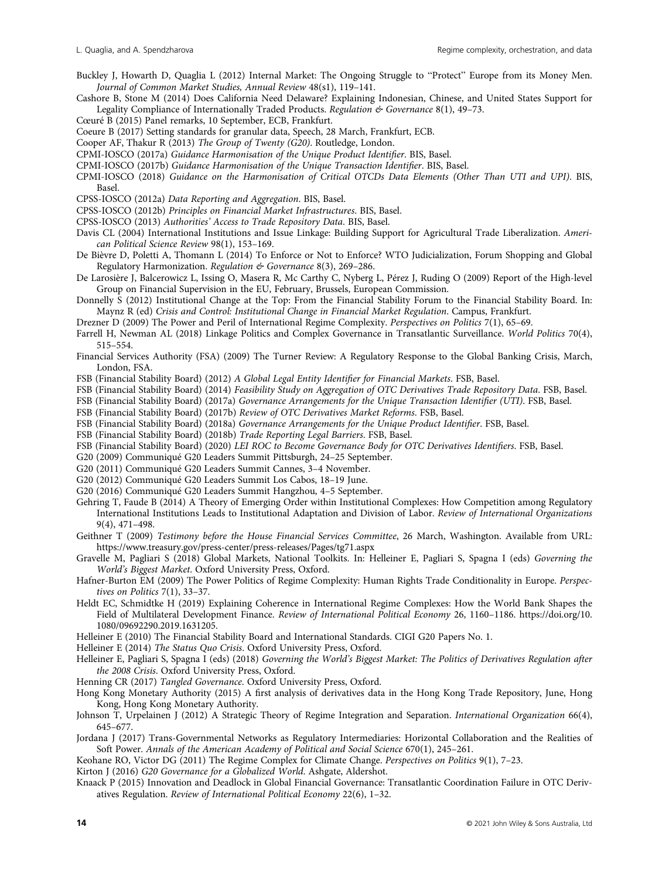- Buckley J, Howarth D, Quaglia L (2012) Internal Market: The Ongoing Struggle to "Protect" Europe from its Money Men. Journal of Common Market Studies, Annual Review 48(s1), 119–141.
- Cashore B, Stone M (2014) Does California Need Delaware? Explaining Indonesian, Chinese, and United States Support for Legality Compliance of Internationally Traded Products. Regulation & Governance 8(1), 49-73.
- Cœuré B (2015) Panel remarks, 10 September, ECB, Frankfurt.
- Coeure B (2017) Setting standards for granular data, Speech, 28 March, Frankfurt, ECB.
- Cooper AF, Thakur R (2013) The Group of Twenty (G20). Routledge, London.
- CPMI-IOSCO (2017a) Guidance Harmonisation of the Unique Product Identifier. BIS, Basel.
- CPMI-IOSCO (2017b) Guidance Harmonisation of the Unique Transaction Identifier. BIS, Basel.
- CPMI-IOSCO (2018) Guidance on the Harmonisation of Critical OTCDs Data Elements (Other Than UTI and UPI). BIS, Basel.
- CPSS-IOSCO (2012a) Data Reporting and Aggregation. BIS, Basel.
- CPSS-IOSCO (2012b) Principles on Financial Market Infrastructures. BIS, Basel.
- CPSS-IOSCO (2013) Authorities' Access to Trade Repository Data. BIS, Basel.
- Davis CL (2004) International Institutions and Issue Linkage: Building Support for Agricultural Trade Liberalization. American Political Science Review 98(1), 153–169.
- De Bièvre D, Poletti A, Thomann L (2014) To Enforce or Not to Enforce? WTO Judicialization, Forum Shopping and Global Regulatory Harmonization. Regulation & Governance 8(3), 269-286.
- De Larosière J, Balcerowicz L, Issing O, Masera R, Mc Carthy C, Nyberg L, Pérez J, Ruding O (2009) Report of the High-level Group on Financial Supervision in the EU, February, Brussels, European Commission.
- Donnelly S (2012) Institutional Change at the Top: From the Financial Stability Forum to the Financial Stability Board. In: Maynz R (ed) Crisis and Control: Institutional Change in Financial Market Regulation. Campus, Frankfurt.
- Drezner D (2009) The Power and Peril of International Regime Complexity. Perspectives on Politics 7(1), 65–69.
- Farrell H, Newman AL (2018) Linkage Politics and Complex Governance in Transatlantic Surveillance. World Politics 70(4), 515–554.
- Financial Services Authority (FSA) (2009) The Turner Review: A Regulatory Response to the Global Banking Crisis, March, London, FSA.
- FSB (Financial Stability Board) (2012) A Global Legal Entity Identifier for Financial Markets. FSB, Basel.
- FSB (Financial Stability Board) (2014) Feasibility Study on Aggregation of OTC Derivatives Trade Repository Data. FSB, Basel.
- FSB (Financial Stability Board) (2017a) Governance Arrangements for the Unique Transaction Identifier (UTI). FSB, Basel.
- FSB (Financial Stability Board) (2017b) Review of OTC Derivatives Market Reforms. FSB, Basel.
- FSB (Financial Stability Board) (2018a) Governance Arrangements for the Unique Product Identifier. FSB, Basel.
- FSB (Financial Stability Board) (2018b) Trade Reporting Legal Barriers. FSB, Basel.
- FSB (Financial Stability Board) (2020) LEI ROC to Become Governance Body for OTC Derivatives Identifiers. FSB, Basel.
- G20 (2009) Communiqué G20 Leaders Summit Pittsburgh, 24–25 September.
- G20 (2011) Communiqué G20 Leaders Summit Cannes, 3–4 November.
- G20 (2012) Communiqué G20 Leaders Summit Los Cabos, 18–19 June.
- G20 (2016) Communiqué G20 Leaders Summit Hangzhou, 4–5 September.
- Gehring T, Faude B (2014) A Theory of Emerging Order within Institutional Complexes: How Competition among Regulatory International Institutions Leads to Institutional Adaptation and Division of Labor. Review of International Organizations 9(4), 471–498.
- Geithner T (2009) Testimony before the House Financial Services Committee, 26 March, Washington. Available from URL: <https://www.treasury.gov/press-center/press-releases/Pages/tg71.aspx>
- Gravelle M, Pagliari S (2018) Global Markets, National Toolkits. In: Helleiner E, Pagliari S, Spagna I (eds) Governing the World's Biggest Market. Oxford University Press, Oxford.
- Hafner-Burton EM (2009) The Power Politics of Regime Complexity: Human Rights Trade Conditionality in Europe. Perspectives on Politics 7(1), 33–37.
- Heldt EC, Schmidtke H (2019) Explaining Coherence in International Regime Complexes: How the World Bank Shapes the Field of Multilateral Development Finance. Review of International Political Economy 26, 1160–1186. [https://doi.org/10.](https://doi.org/10.1080/09692290.2019.1631205) [1080/09692290.2019.1631205.](https://doi.org/10.1080/09692290.2019.1631205)
- Helleiner E (2010) The Financial Stability Board and International Standards. CIGI G20 Papers No. 1.
- Helleiner E (2014) The Status Quo Crisis. Oxford University Press, Oxford.
- Helleiner E, Pagliari S, Spagna I (eds) (2018) Governing the World's Biggest Market: The Politics of Derivatives Regulation after the 2008 Crisis. Oxford University Press, Oxford.
- Henning CR (2017) Tangled Governance. Oxford University Press, Oxford.
- Hong Kong Monetary Authority (2015) A first analysis of derivatives data in the Hong Kong Trade Repository, June, Hong Kong, Hong Kong Monetary Authority.
- Johnson T, Urpelainen J (2012) A Strategic Theory of Regime Integration and Separation. International Organization 66(4), 645–677.
- Jordana J (2017) Trans-Governmental Networks as Regulatory Intermediaries: Horizontal Collaboration and the Realities of Soft Power. Annals of the American Academy of Political and Social Science 670(1), 245–261.
- Keohane RO, Victor DG (2011) The Regime Complex for Climate Change. Perspectives on Politics 9(1), 7–23.
- Kirton J (2016) G20 Governance for a Globalized World. Ashgate, Aldershot.
- Knaack P (2015) Innovation and Deadlock in Global Financial Governance: Transatlantic Coordination Failure in OTC Derivatives Regulation. Review of International Political Economy 22(6), 1–32.